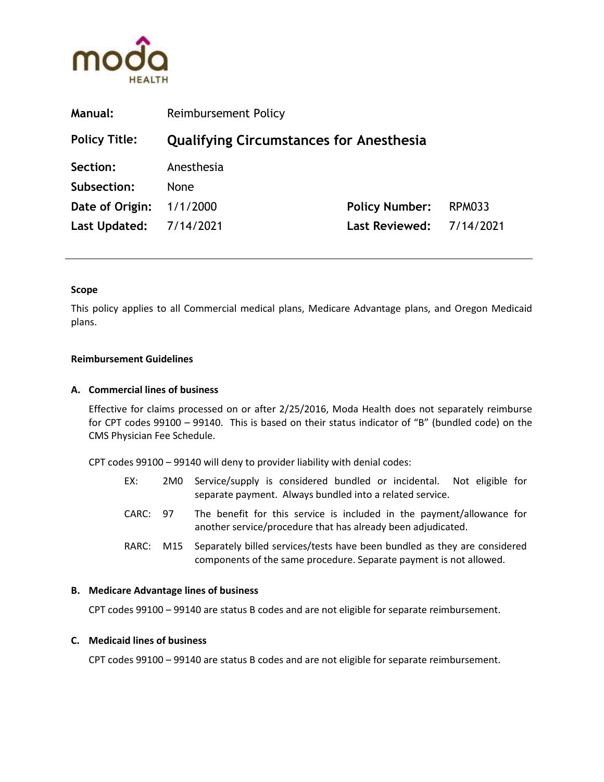

| <b>Manual:</b>          | <b>Reimbursement Policy</b>                    |                          |               |
|-------------------------|------------------------------------------------|--------------------------|---------------|
| <b>Policy Title:</b>    | <b>Qualifying Circumstances for Anesthesia</b> |                          |               |
| Section:                | Anesthesia                                     |                          |               |
| Subsection:             | <b>None</b>                                    |                          |               |
| Date of Origin:         | 1/1/2000                                       | <b>Policy Number:</b>    | <b>RPM033</b> |
| Last Updated: 7/14/2021 |                                                | Last Reviewed: 7/14/2021 |               |
|                         |                                                |                          |               |

### Scope

This policy applies to all Commercial medical plans, Medicare Advantage plans, and Oregon Medicaid plans.

### Reimbursement Guidelines

#### A. Commercial lines of business

Effective for claims processed on or after 2/25/2016, Moda Health does not separately reimburse for CPT codes 99100 – 99140. This is based on their status indicator of "B" (bundled code) on the CMS Physician Fee Schedule.

CPT codes 99100 – 99140 will deny to provider liability with denial codes:

- EX: 2M0 Service/supply is considered bundled or incidental. Not eligible for separate payment. Always bundled into a related service.
- CARC: 97 The benefit for this service is included in the payment/allowance for another service/procedure that has already been adjudicated.
- RARC: M15 Separately billed services/tests have been bundled as they are considered components of the same procedure. Separate payment is not allowed.

### B. Medicare Advantage lines of business

CPT codes 99100 – 99140 are status B codes and are not eligible for separate reimbursement.

### C. Medicaid lines of business

CPT codes 99100 – 99140 are status B codes and are not eligible for separate reimbursement.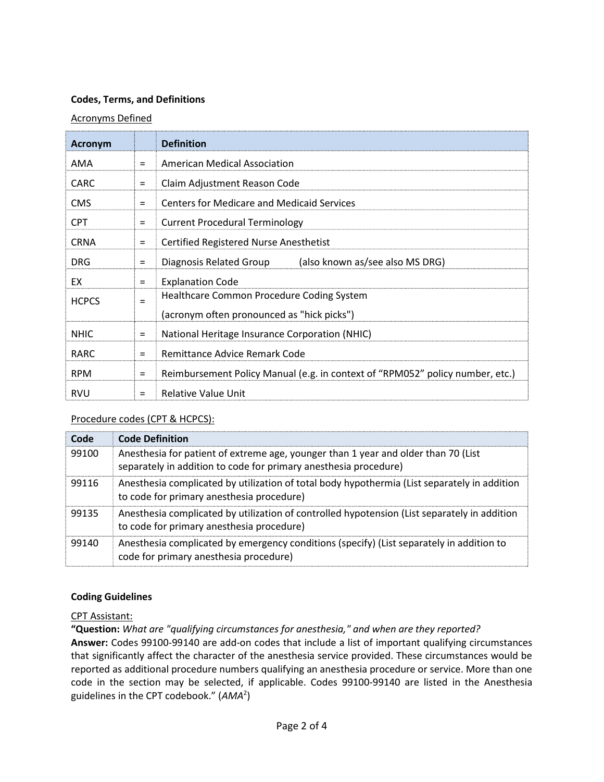# Codes, Terms, and Definitions

# Acronyms Defined

| <b>Acronym</b> |          | <b>Definition</b>                                                             |  |
|----------------|----------|-------------------------------------------------------------------------------|--|
| AMA            | $=$      | <b>American Medical Association</b>                                           |  |
| <b>CARC</b>    | $=$      | Claim Adjustment Reason Code                                                  |  |
| <b>CMS</b>     | $=$      | <b>Centers for Medicare and Medicaid Services</b>                             |  |
| <b>CPT</b>     | $\equiv$ | <b>Current Procedural Terminology</b>                                         |  |
| <b>CRNA</b>    | $=$      | Certified Registered Nurse Anesthetist                                        |  |
| <b>DRG</b>     | $=$      | (also known as/see also MS DRG)<br>Diagnosis Related Group                    |  |
| EX             | $=$      | <b>Explanation Code</b>                                                       |  |
| <b>HCPCS</b>   | $=$      | Healthcare Common Procedure Coding System                                     |  |
|                |          | (acronym often pronounced as "hick picks")                                    |  |
| <b>NHIC</b>    | $=$      | National Heritage Insurance Corporation (NHIC)                                |  |
| <b>RARC</b>    | $=$      | Remittance Advice Remark Code                                                 |  |
| <b>RPM</b>     | $=$      | Reimbursement Policy Manual (e.g. in context of "RPM052" policy number, etc.) |  |
| <b>RVU</b>     | $=$      | <b>Relative Value Unit</b>                                                    |  |

# Procedure codes (CPT & HCPCS):

| Code  | <b>Code Definition</b>                                                                                                                                 |
|-------|--------------------------------------------------------------------------------------------------------------------------------------------------------|
| 99100 | Anesthesia for patient of extreme age, younger than 1 year and older than 70 (List<br>separately in addition to code for primary anesthesia procedure) |
| 99116 | Anesthesia complicated by utilization of total body hypothermia (List separately in addition<br>to code for primary anesthesia procedure)              |
| 99135 | Anesthesia complicated by utilization of controlled hypotension (List separately in addition<br>to code for primary anesthesia procedure)              |
| 99140 | Anesthesia complicated by emergency conditions (specify) (List separately in addition to<br>code for primary anesthesia procedure)                     |

# Coding Guidelines

# CPT Assistant:

"Question: What are "qualifying circumstances for anesthesia," and when are they reported? Answer: Codes 99100-99140 are add-on codes that include a list of important qualifying circumstances that significantly affect the character of the anesthesia service provided. These circumstances would be reported as additional procedure numbers qualifying an anesthesia procedure or service. More than one code in the section may be selected, if applicable. Codes 99100-99140 are listed in the Anesthesia guidelines in the CPT codebook." (AMA<sup>2</sup>)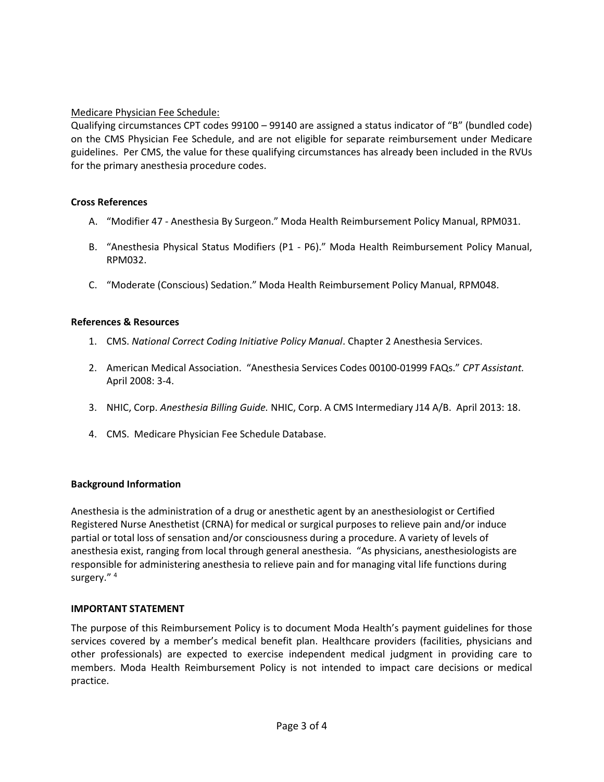# Medicare Physician Fee Schedule:

Qualifying circumstances CPT codes 99100 – 99140 are assigned a status indicator of "B" (bundled code) on the CMS Physician Fee Schedule, and are not eligible for separate reimbursement under Medicare guidelines. Per CMS, the value for these qualifying circumstances has already been included in the RVUs for the primary anesthesia procedure codes.

# Cross References

- A. "Modifier 47 Anesthesia By Surgeon." Moda Health Reimbursement Policy Manual, RPM031.
- B. "Anesthesia Physical Status Modifiers (P1 P6)." Moda Health Reimbursement Policy Manual, RPM032.
- C. "Moderate (Conscious) Sedation." Moda Health Reimbursement Policy Manual, RPM048.

# References & Resources

- 1. CMS. National Correct Coding Initiative Policy Manual. Chapter 2 Anesthesia Services.
- 2. American Medical Association. "Anesthesia Services Codes 00100-01999 FAQs." CPT Assistant. April 2008: 3-4.
- 3. NHIC, Corp. Anesthesia Billing Guide. NHIC, Corp. A CMS Intermediary J14 A/B. April 2013: 18.
- 4. CMS. Medicare Physician Fee Schedule Database.

# Background Information

Anesthesia is the administration of a drug or anesthetic agent by an anesthesiologist or Certified Registered Nurse Anesthetist (CRNA) for medical or surgical purposes to relieve pain and/or induce partial or total loss of sensation and/or consciousness during a procedure. A variety of levels of anesthesia exist, ranging from local through general anesthesia. "As physicians, anesthesiologists are responsible for administering anesthesia to relieve pain and for managing vital life functions during surgery." <sup>4</sup>

# IMPORTANT STATEMENT

The purpose of this Reimbursement Policy is to document Moda Health's payment guidelines for those services covered by a member's medical benefit plan. Healthcare providers (facilities, physicians and other professionals) are expected to exercise independent medical judgment in providing care to members. Moda Health Reimbursement Policy is not intended to impact care decisions or medical practice.